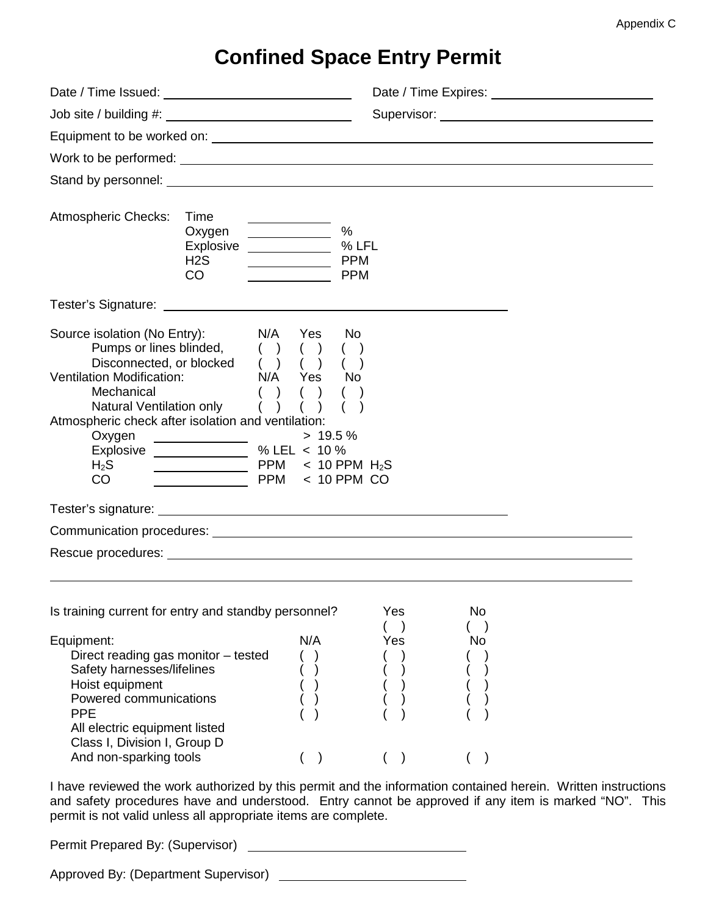## **Confined Space Entry Permit**

| Date / Time Issued: 1999 and 1999 and 1999 and 1999 and 1999 and 1999 and 1999 and 1999 and 1999 and 1999 and 1999 and 1999 and 1999 and 1999 and 1999 and 1999 and 1999 and 1999 and 1999 and 1999 and 1999 and 1999 and 1999          |                                                                                                                                                                                                                                                                  |                                                                                                                                                                                                                                |            |          |                                                                                                                                                                                                                       |  |
|-----------------------------------------------------------------------------------------------------------------------------------------------------------------------------------------------------------------------------------------|------------------------------------------------------------------------------------------------------------------------------------------------------------------------------------------------------------------------------------------------------------------|--------------------------------------------------------------------------------------------------------------------------------------------------------------------------------------------------------------------------------|------------|----------|-----------------------------------------------------------------------------------------------------------------------------------------------------------------------------------------------------------------------|--|
|                                                                                                                                                                                                                                         |                                                                                                                                                                                                                                                                  | Supervisor: Analysis of the Contract of the Contract of the Contract of the Contract of the Contract of the Contract of the Contract of the Contract of the Contract of the Contract of the Contract of the Contract of the Co |            |          |                                                                                                                                                                                                                       |  |
|                                                                                                                                                                                                                                         |                                                                                                                                                                                                                                                                  |                                                                                                                                                                                                                                |            |          |                                                                                                                                                                                                                       |  |
|                                                                                                                                                                                                                                         |                                                                                                                                                                                                                                                                  |                                                                                                                                                                                                                                |            |          |                                                                                                                                                                                                                       |  |
|                                                                                                                                                                                                                                         |                                                                                                                                                                                                                                                                  |                                                                                                                                                                                                                                |            |          |                                                                                                                                                                                                                       |  |
| Atmospheric Checks:                                                                                                                                                                                                                     | Time<br>Oxygen<br>Explosive % LFL<br>H <sub>2</sub> S<br>CO                                                                                                                                                                                                      | %<br>____________  PPM<br><b>PPM</b>                                                                                                                                                                                           |            |          |                                                                                                                                                                                                                       |  |
|                                                                                                                                                                                                                                         |                                                                                                                                                                                                                                                                  |                                                                                                                                                                                                                                |            |          |                                                                                                                                                                                                                       |  |
| Source isolation (No Entry):<br>Pumps or lines blinded,<br>Disconnected, or blocked<br><b>Ventilation Modification:</b><br>Mechanical<br>Natural Ventilation only<br>Atmospheric check after isolation and ventilation:<br>$H_2S$<br>CO | N/A<br>( )<br>( )<br>N/A Yes<br>$\rightarrow$<br>( ) ( )<br>Uxygen<br>Explosive $\frac{\qquad \qquad \longrightarrow 19.5^{\circ}}{\qquad \qquad \longrightarrow 19.5^{\circ}}$<br>W. LEL < 10 %<br>PPM < 10 PPM H <sub>2</sub> S<br><u> Alban Maria (</u> 1985) | No<br>Yes<br>$($ )<br><b>No</b><br>$> 19.5 \%$<br>$PPM < 10$ PPM CO                                                                                                                                                            |            |          |                                                                                                                                                                                                                       |  |
|                                                                                                                                                                                                                                         |                                                                                                                                                                                                                                                                  |                                                                                                                                                                                                                                |            |          |                                                                                                                                                                                                                       |  |
| Communication procedures: University of the control of the control of the control of the control of the control of the control of the control of the control of the control of the control of the control of the control of th          |                                                                                                                                                                                                                                                                  |                                                                                                                                                                                                                                |            |          |                                                                                                                                                                                                                       |  |
|                                                                                                                                                                                                                                         |                                                                                                                                                                                                                                                                  |                                                                                                                                                                                                                                |            |          |                                                                                                                                                                                                                       |  |
|                                                                                                                                                                                                                                         |                                                                                                                                                                                                                                                                  |                                                                                                                                                                                                                                |            |          |                                                                                                                                                                                                                       |  |
| Is training current for entry and standby personnel?<br>Equipment:<br>Direct reading gas monitor - tested<br>Safety harnesses/lifelines<br>Hoist equipment<br>Powered communications                                                    |                                                                                                                                                                                                                                                                  | N/A                                                                                                                                                                                                                            | Yes<br>Yes | No<br>No |                                                                                                                                                                                                                       |  |
| <b>PPE</b><br>All electric equipment listed<br>Class I, Division I, Group D<br>And non-sparking tools                                                                                                                                   |                                                                                                                                                                                                                                                                  |                                                                                                                                                                                                                                |            |          |                                                                                                                                                                                                                       |  |
| permit is not valid unless all appropriate items are complete.                                                                                                                                                                          |                                                                                                                                                                                                                                                                  |                                                                                                                                                                                                                                |            |          | I have reviewed the work authorized by this permit and the information contained herein. Written instructions<br>and safety procedures have and understood. Entry cannot be approved if any item is marked "NO". This |  |

Permit Prepared By: (Supervisor)

Approved By: (Department Supervisor) \_\_\_\_\_\_\_\_\_\_\_\_\_\_\_\_